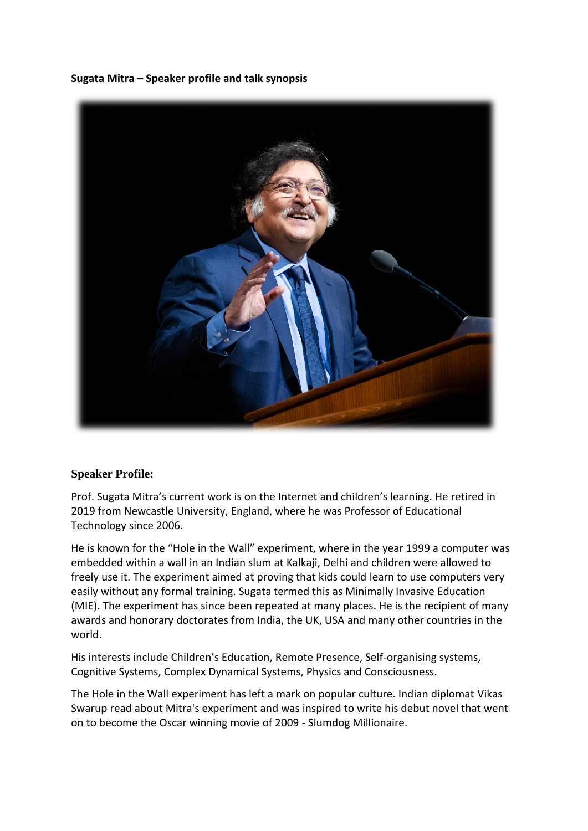**Sugata Mitra – Speaker profile and talk synopsis**



## **Speaker Profile:**

Prof. Sugata Mitra's current work is on the Internet and children's learning. He retired in 2019 from Newcastle University, England, where he was Professor of Educational Technology since 2006.

He is known for the "Hole in the Wall" experiment, where in the year 1999 a computer was embedded within a wall in an Indian slum at Kalkaji, Delhi and children were allowed to freely use it. The experiment aimed at proving that kids could learn to use computers very easily without any formal training. Sugata termed this as Minimally Invasive Education (MIE). The experiment has since been repeated at many places. He is the recipient of many awards and honorary doctorates from India, the UK, USA and many other countries in the world.

His interests include Children's Education, Remote Presence, Self-organising systems, Cognitive Systems, Complex Dynamical Systems, Physics and Consciousness.

The Hole in the Wall experiment has left a mark on popular culture. Indian diplomat Vikas Swarup read about Mitra's experiment and was inspired to write his debut novel that went on to become the Oscar winning movie of 2009 - Slumdog Millionaire.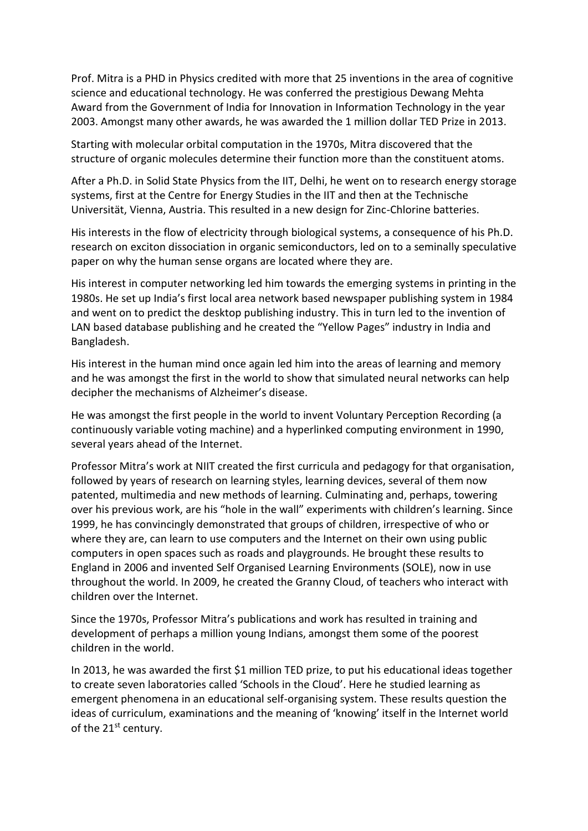Prof. Mitra is a PHD in Physics credited with more that 25 inventions in the area of cognitive science and educational technology. He was conferred the prestigious Dewang Mehta Award from the Government of India for Innovation in Information Technology in the year 2003. Amongst many other awards, he was awarded the 1 million dollar TED Prize in 2013.

Starting with molecular orbital computation in the 1970s, Mitra discovered that the structure of organic molecules determine their function more than the constituent atoms.

After a Ph.D. in Solid State Physics from the IIT, Delhi, he went on to research energy storage systems, first at the Centre for Energy Studies in the IIT and then at the Technische Universität, Vienna, Austria. This resulted in a new design for Zinc-Chlorine batteries.

His interests in the flow of electricity through biological systems, a consequence of his Ph.D. research on exciton dissociation in organic semiconductors, led on to a seminally speculative paper on why the human sense organs are located where they are.

His interest in computer networking led him towards the emerging systems in printing in the 1980s. He set up India's first local area network based newspaper publishing system in 1984 and went on to predict the desktop publishing industry. This in turn led to the invention of LAN based database publishing and he created the "Yellow Pages" industry in India and Bangladesh.

His interest in the human mind once again led him into the areas of learning and memory and he was amongst the first in the world to show that simulated neural networks can help decipher the mechanisms of Alzheimer's disease.

He was amongst the first people in the world to invent Voluntary Perception Recording (a continuously variable voting machine) and a hyperlinked computing environment in 1990, several years ahead of the Internet.

Professor Mitra's work at NIIT created the first curricula and pedagogy for that organisation, followed by years of research on learning styles, learning devices, several of them now patented, multimedia and new methods of learning. Culminating and, perhaps, towering over his previous work, are his "hole in the wall" experiments with children's learning. Since 1999, he has convincingly demonstrated that groups of children, irrespective of who or where they are, can learn to use computers and the Internet on their own using public computers in open spaces such as roads and playgrounds. He brought these results to England in 2006 and invented Self Organised Learning Environments (SOLE), now in use throughout the world. In 2009, he created the Granny Cloud, of teachers who interact with children over the Internet.

Since the 1970s, Professor Mitra's publications and work has resulted in training and development of perhaps a million young Indians, amongst them some of the poorest children in the world.

In 2013, he was awarded the first \$1 million TED prize, to put his educational ideas together to create seven laboratories called 'Schools in the Cloud'. Here he studied learning as emergent phenomena in an educational self-organising system. These results question the ideas of curriculum, examinations and the meaning of 'knowing' itself in the Internet world of the 21<sup>st</sup> century.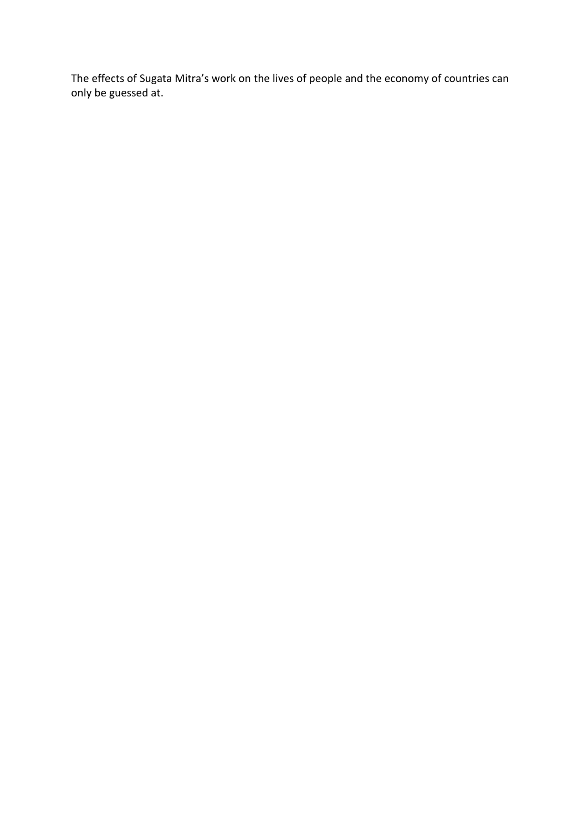The effects of Sugata Mitra's work on the lives of people and the economy of countries can only be guessed at.